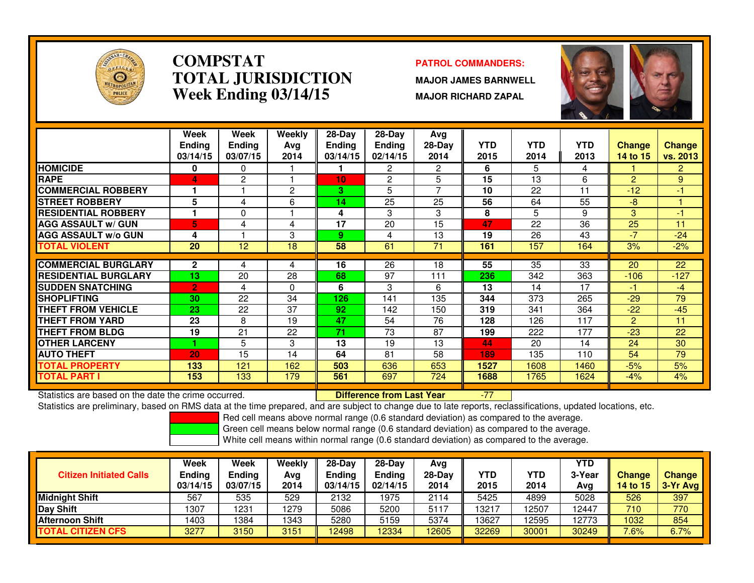

### **COMPSTATPATROL COMMANDERS:**<br> **PATROL COMMANDERS TOTAL JURISDICTIONWeek Ending 03/14/15**

 **MAJOR JAMES BARNWELL MAJOR RICHARD ZAPAL**



|                             | Week<br><b>Ending</b><br>03/14/15 | Week<br>Endina<br>03/07/15 | Weekly<br>Ava<br>2014 | $28-Day$<br><b>Endina</b><br>03/14/15 | $28-Day$<br><b>Ending</b><br>02/14/15 | Avg<br>$28-Day$<br>2014 | <b>YTD</b><br>2015 | <b>YTD</b><br>2014 | <b>YTD</b><br>2013 | <b>Change</b><br>14 to 15 | <b>Change</b><br>vs. 2013 |
|-----------------------------|-----------------------------------|----------------------------|-----------------------|---------------------------------------|---------------------------------------|-------------------------|--------------------|--------------------|--------------------|---------------------------|---------------------------|
| <b>HOMICIDE</b>             | 0                                 | 0                          |                       |                                       | 2                                     | 2                       | 6                  | 5                  | 4                  |                           | $\overline{2}$            |
| <b>RAPE</b>                 | 4                                 | 2                          |                       | 10                                    | 2                                     | 5                       | 15                 | 13                 | 6                  | $\overline{2}$            | 9                         |
| <b>COMMERCIAL ROBBERY</b>   |                                   |                            | 2                     | 3                                     | 5                                     | 7                       | 10                 | 22                 | 11                 | $-12$                     | $-1$                      |
| <b>ISTREET ROBBERY</b>      | 5                                 | 4                          | 6                     | 14                                    | 25                                    | 25                      | 56                 | 64                 | 55                 | $-8$                      |                           |
| <b>RESIDENTIAL ROBBERY</b>  | н.                                | 0                          |                       | 4                                     | 3                                     | 3                       | 8                  | 5.                 | 9                  | 3                         | $-1$                      |
| <b>AGG ASSAULT w/ GUN</b>   | 5                                 | 4                          | 4                     | 17                                    | 20                                    | 15                      | 47                 | 22                 | 36                 | 25                        | 11                        |
| <b>AGG ASSAULT w/o GUN</b>  | 4                                 |                            | 3                     | 9                                     | 4                                     | 13                      | 19                 | 26                 | 43                 | $-7$                      | $-24$                     |
| <b>TOTAL VIOLENT</b>        | 20                                | 12                         | 18                    | 58                                    | 61                                    | 71                      | 161                | 157                | 164                | 3%                        | $-2%$                     |
|                             |                                   |                            |                       |                                       |                                       |                         |                    |                    |                    |                           |                           |
| <b>ICOMMERCIAL BURGLARY</b> | $\mathbf{2}$                      | 4                          | 4                     | 16                                    | 26                                    | 18                      | 55                 | 35                 | 33                 | 20                        | 22                        |
| <b>RESIDENTIAL BURGLARY</b> | 13                                | 20                         | 28                    | 68                                    | 97                                    | 111                     | 236                | 342                | 363                | $-106$                    | $-127$                    |
| <b>SUDDEN SNATCHING</b>     | $\overline{2}$                    | 4                          | $\Omega$              | 6                                     | 3                                     | 6                       | 13                 | 14                 | 17                 | -1                        | $-4$                      |
| <b>SHOPLIFTING</b>          | 30                                | 22                         | 34                    | 126                                   | 141                                   | 135                     | 344                | 373                | 265                | $-29$                     | 79                        |
| <b>THEFT FROM VEHICLE</b>   | 23                                | 22                         | 37                    | 92                                    | 142                                   | 150                     | 319                | 341                | 364                | $-22$                     | $-45$                     |
| <b>THEFT FROM YARD</b>      | 23                                | 8                          | 19                    | 47                                    | 54                                    | 76                      | 128                | 126                | 117                | $\overline{2}$            | 11                        |
| <b>THEFT FROM BLDG</b>      | 19                                | 21                         | 22                    | 71                                    | 73                                    | 87                      | 199                | 222                | 177                | $-23$                     | 22                        |
| <b>OTHER LARCENY</b>        |                                   | 5                          | 3                     | 13                                    | 19                                    | 13                      | 44                 | 20                 | 14                 | 24                        | 30                        |
| <b>AUTO THEFT</b>           | 20                                | 15                         | 14                    | 64                                    | 81                                    | 58                      | 189                | 135                | 110                | 54                        | 79                        |
| <b>TOTAL PROPERTY</b>       | 133                               | 121                        | 162                   | 503                                   | 636                                   | 653                     | 1527               | 1608               | 1460               | $-5%$                     | 5%                        |
| <b>TOTAL PART I</b>         | 153                               | 133                        | 179                   | 561                                   | 697                                   | 724                     | 1688               | 1765               | 1624               | $-4%$                     | 4%                        |

Statistics are based on the date the crime occurred. **Difference from Last Year** 

Statistics are based on the date the crime occurred. **[19] Letter Lubber 10 Letter are Statistics** are based on the date time occurred.<br>Statistics are preliminary, based on RMS data at the time prepared, and are subject to

Red cell means above normal range (0.6 standard deviation) as compared to the average.

Green cell means below normal range (0.6 standard deviation) as compared to the average.

| <b>Citizen Initiated Calls</b> | Week<br>Ending<br>03/14/15 | <b>Week</b><br><b>Ending</b><br>03/07/15 | Weekly<br>Avg<br>2014 | $28-Dav$<br>Ending<br>03/14/15 | $28-Day$<br>Ending<br>02/14/15 | Avg<br>$28-Day$<br>2014 | YTD<br>2015 | YTD<br>2014 | YTD<br>3-Year<br>Avg | <b>Change</b><br>14 to 15 | <b>Change</b><br>3-Yr Avg |
|--------------------------------|----------------------------|------------------------------------------|-----------------------|--------------------------------|--------------------------------|-------------------------|-------------|-------------|----------------------|---------------------------|---------------------------|
| Midnight Shift                 | 567                        | 535                                      | 529                   | 2132                           | 1975                           | 2114                    | 5425        | 4899        | 5028                 | 526                       | 397                       |
| Day Shift                      | 1307                       | 1231                                     | 1279                  | 5086                           | 5200                           | 5117                    | 13217       | 2507        | 12447                | 710                       | 770                       |
| <b>Afternoon Shift</b>         | 1403                       | 1384                                     | 1343                  | 5280                           | 5159                           | 5374                    | 13627       | 12595       | 12773                | 1032                      | 854                       |
| <b>TOTAL CITIZEN CFS</b>       | 3277                       | 3150                                     | 3151                  | 12498                          | 12334                          | 12605                   | 32269       | 30001       | 30249                | 7.6%                      | 6.7%                      |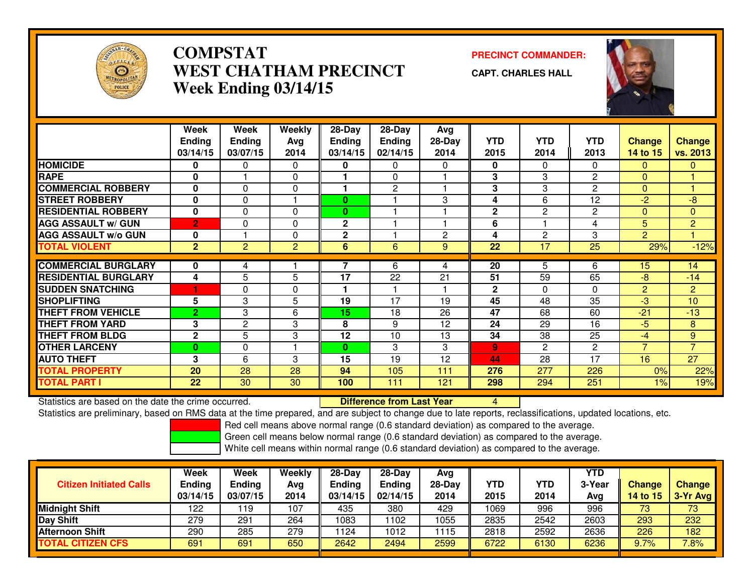

## **COMPSTAT PRECINCT COMMANDER: WEST CHATHAM PRECINCTWeek Ending 03/14/15**



**CAPT. CHARLES HALL**



|                             | Week<br><b>Ending</b><br>03/14/15 | Week<br><b>Ending</b><br>03/07/15 | Weekly<br>Avg<br>2014 | 28-Day<br><b>Ending</b><br>03/14/15 | $28$ -Day<br><b>Ending</b><br>02/14/15 | Avg<br>$28-Day$<br>2014 | <b>YTD</b><br>2015 | <b>YTD</b><br>2014 | <b>YTD</b><br>2013 | <b>Change</b><br>14 to 15 | <b>Change</b><br><b>vs. 2013</b> |
|-----------------------------|-----------------------------------|-----------------------------------|-----------------------|-------------------------------------|----------------------------------------|-------------------------|--------------------|--------------------|--------------------|---------------------------|----------------------------------|
| <b>HOMICIDE</b>             | 0                                 | 0                                 | 0                     | 0                                   | $\Omega$                               | $\Omega$                | $\mathbf{0}$       | 0                  | 0                  | 0                         | $\mathbf{0}$                     |
| <b>RAPE</b>                 | $\bf{0}$                          |                                   | $\Omega$              |                                     | $\Omega$                               |                         | 3                  | 3                  | $\overline{c}$     | $\Omega$                  |                                  |
| <b>COMMERCIAL ROBBERY</b>   | 0                                 | 0                                 | $\Omega$              |                                     | $\overline{2}$                         |                         | 3                  | 3                  | $\mathbf{2}$       | $\Omega$                  |                                  |
| <b>STREET ROBBERY</b>       | $\mathbf{0}$                      | $\Omega$                          |                       | $\bf{0}$                            |                                        | 3                       | 4                  | 6                  | 12                 | $-2$                      | $-8$                             |
| <b>RESIDENTIAL ROBBERY</b>  | 0                                 | $\Omega$                          | $\Omega$              | $\bf{0}$                            |                                        |                         | $\mathbf{2}$       | 2                  | $\mathbf{2}$       | $\mathbf{0}$              | $\mathbf{0}$                     |
| <b>AGG ASSAULT w/ GUN</b>   | $\overline{2}$                    | 0                                 | $\Omega$              | $\mathbf{2}$                        |                                        |                         | 6                  |                    | 4                  | 5                         | $\overline{2}$                   |
| <b>AGG ASSAULT w/o GUN</b>  | 0                                 |                                   | $\Omega$              | $\mathbf{2}$                        |                                        | $\overline{2}$          | 4                  | 2                  | 3                  | $\overline{2}$            |                                  |
| <b>TOTAL VIOLENT</b>        | $\mathbf{2}$                      | $\overline{2}$                    | $\overline{2}$        | 6                                   | 6                                      | 9                       | 22                 | 17                 | 25                 | 29%                       | $-12%$                           |
|                             |                                   |                                   |                       |                                     |                                        |                         |                    |                    |                    |                           |                                  |
| <b>COMMERCIAL BURGLARY</b>  | 0                                 | 4                                 |                       |                                     | 6                                      | 4                       | 20                 | 5                  | 6                  | 15                        | 14                               |
| <b>RESIDENTIAL BURGLARY</b> | 4                                 | 5                                 | 5                     | 17                                  | 22                                     | 21                      | 51                 | 59                 | 65                 | -8                        | $-14$                            |
| <b>SUDDEN SNATCHING</b>     |                                   | 0                                 | $\Omega$              |                                     |                                        |                         | $\mathbf{2}$       | $\Omega$           | $\Omega$           | $\overline{2}$            | $\overline{2}$                   |
| <b>SHOPLIFTING</b>          | 5                                 | 3                                 | 5                     | 19                                  | 17                                     | 19                      | 45                 | 48                 | $\overline{35}$    | $-3$                      | 10                               |
| <b>THEFT FROM VEHICLE</b>   | $\overline{2}$                    | 3                                 | 6                     | 15                                  | 18                                     | 26                      | 47                 | 68                 | 60                 | $-21$                     | $-13$                            |
| <b>THEFT FROM YARD</b>      | 3                                 | $\mathbf{2}$                      | 3                     | 8                                   | 9                                      | 12                      | 24                 | 29                 | 16                 | $-5$                      | 8                                |
| <b>THEFT FROM BLDG</b>      | $\mathbf{2}$                      | 5                                 | 3                     | 12                                  | 10                                     | 13                      | 34                 | 38                 | $\overline{25}$    | $-4$                      | 9                                |
| <b>OTHER LARCENY</b>        | $\bf{0}$                          | 0                                 |                       | $\bf{0}$                            | 3                                      | 3                       | 9                  | 2                  | $\overline{c}$     | $\overline{7}$            | $\overline{7}$                   |
| <b>AUTO THEFT</b>           | 3                                 | 6                                 | 3                     | 15                                  | 19                                     | 12                      | 44                 | 28                 | 17                 | 16                        | 27                               |
| <b>TOTAL PROPERTY</b>       | 20                                | 28                                | 28                    | 94                                  | 105                                    | 111                     | 276                | 277                | 226                | 0%                        | 22%                              |
| <b>TOTAL PART I</b>         | 22                                | 30                                | 30                    | 100                                 | 111                                    | 121                     | 298                | 294                | 251                | 1%                        | 19%                              |

Statistics are based on the date the crime occurred. **Difference from Last Year** 

Statistics are based on the date the crime occurred. **The Difference from Last Year Netter 1998**<br>Statistics are preliminary, based on RMS data at the time prepared, and are subject to change due to late reports, reclassifi

Red cell means above normal range (0.6 standard deviation) as compared to the average.

Green cell means below normal range (0.6 standard deviation) as compared to the average.

| <b>Citizen Initiated Calls</b> | Week<br><b>Ending</b><br>03/14/15 | Week<br><b>Ending</b><br>03/07/15 | Weekly<br>Avg<br>2014 | 28-Day<br><b>Ending</b><br>03/14/15 | $28-Dav$<br>Ending<br>02/14/15 | Avg<br>$28-Day$<br>2014 | YTD<br>2015 | YTD<br>2014 | YTD<br>3-Year<br>Avg | <b>Change</b><br><b>14 to 15</b> | <b>Change</b><br>$3-Yr$ Avg |
|--------------------------------|-----------------------------------|-----------------------------------|-----------------------|-------------------------------------|--------------------------------|-------------------------|-------------|-------------|----------------------|----------------------------------|-----------------------------|
| <b>Midnight Shift</b>          | 122                               | 19                                | 107                   | 435                                 | 380                            | 429                     | 1069        | 996         | 996                  | 73                               | 73                          |
| Day Shift                      | 279                               | 291                               | 264                   | 1083                                | 102                            | 1055                    | 2835        | 2542        | 2603                 | 293                              | 232                         |
| <b>Afternoon Shift</b>         | 290                               | 285                               | 279                   | 1124                                | 1012                           | 1115                    | 2818        | 2592        | 2636                 | 226                              | 182                         |
| <b>TOTAL CITIZEN CFS</b>       | 691                               | 691                               | 650                   | 2642                                | 2494                           | 2599                    | 6722        | 6130        | 6236                 | 9.7%                             | 7.8%                        |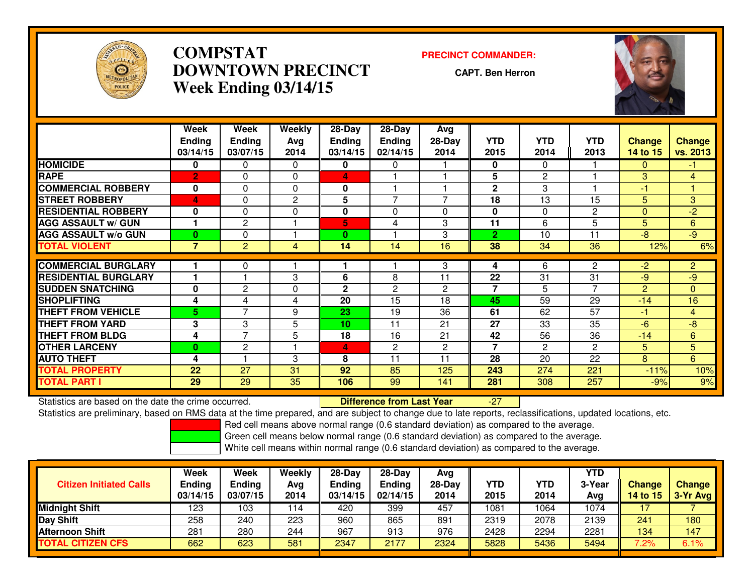

## **COMPSTAT PRECINCT COMMANDER: DOWNTOWN PRECINCTWeek Ending 03/14/15**

**CAPT. Ben Herron**

-27



|                             | Week<br><b>Ending</b><br>03/14/15 | Week<br><b>Endina</b><br>03/07/15 | Weekly<br>Avg<br>2014 | $28-Day$<br><b>Ending</b><br>03/14/15 | $28$ -Day<br><b>Ending</b><br>02/14/15 | Avg<br>$28-Day$<br>2014 | <b>YTD</b><br>2015 | <b>YTD</b><br>2014 | <b>YTD</b><br>2013 | <b>Change</b><br>14 to 15 | <b>Change</b><br>vs. 2013 |
|-----------------------------|-----------------------------------|-----------------------------------|-----------------------|---------------------------------------|----------------------------------------|-------------------------|--------------------|--------------------|--------------------|---------------------------|---------------------------|
| <b>HOMICIDE</b>             | 0                                 | $\Omega$                          | $\Omega$              | 0                                     | 0                                      |                         | $\mathbf{0}$       | 0                  |                    | 0                         | -1                        |
| <b>RAPE</b>                 | $\overline{2}$                    | $\Omega$                          | 0                     | 4                                     |                                        |                         | 5                  | $\overline{2}$     |                    | 3                         | 4                         |
| <b>COMMERCIAL ROBBERY</b>   | 0                                 | $\Omega$                          | $\Omega$              | 0                                     |                                        |                         | $\mathbf{2}$       | 3                  |                    | $-1$                      |                           |
| <b>STREET ROBBERY</b>       | 4                                 | $\Omega$                          | $\mathbf{2}$          | 5                                     | $\overline{\phantom{a}}$               | $\overline{7}$          | 18                 | 13                 | 15                 | 5 <sup>5</sup>            | 3                         |
| <b>RESIDENTIAL ROBBERY</b>  | 0                                 | $\Omega$                          | $\Omega$              | 0                                     | $\Omega$                               | $\Omega$                | $\bf{0}$           | 0                  | $\overline{2}$     | 0                         | $-2$                      |
| <b>AGG ASSAULT w/ GUN</b>   |                                   | $\mathbf{2}$                      |                       | 5                                     | 4                                      | 3                       | 11                 | 6                  | 5                  | 5                         | 6                         |
| <b>AGG ASSAULT w/o GUN</b>  | $\bf{0}$                          | 0                                 |                       | $\bf{0}$                              |                                        | 3                       | $\overline{2}$     | 10                 | 11                 | $-8$                      | $-9$                      |
| <b>TOTAL VIOLENT</b>        | 7                                 | $\overline{2}$                    | 4                     | 14                                    | 14                                     | 16                      | 38                 | 34                 | 36                 | 12%                       | 6%                        |
|                             |                                   |                                   |                       |                                       |                                        |                         |                    |                    |                    |                           |                           |
| <b>COMMERCIAL BURGLARY</b>  |                                   | $\Omega$                          |                       |                                       |                                        | 3                       | 4                  | 6                  | 2                  | $-2$                      | $\overline{2}$            |
| <b>RESIDENTIAL BURGLARY</b> |                                   |                                   | 3                     | 6                                     | 8                                      | 11                      | 22                 | 31                 | 31                 | -9                        | $-9$                      |
| <b>SUDDEN SNATCHING</b>     | 0                                 | $\mathbf{2}$                      | $\Omega$              | $\mathbf{2}$                          | 2                                      | $\overline{2}$          | $\overline{7}$     | 5                  | $\overline{7}$     | $\overline{2}$            | $\Omega$                  |
| <b>SHOPLIFTING</b>          | 4                                 | 4                                 | 4                     | 20                                    | 15                                     | 18                      | 45                 | 59                 | 29                 | $-14$                     | 16                        |
| <b>THEFT FROM VEHICLE</b>   | 5                                 | $\overline{7}$                    | 9                     | 23                                    | 19                                     | 36                      | 61                 | 62                 | 57                 | -1                        | 4                         |
| <b>THEFT FROM YARD</b>      | 3                                 | 3                                 | 5                     | 10                                    | 11                                     | 21                      | 27                 | 33                 | 35                 | $-6$                      | $-8$                      |
| THEFT FROM BLDG             | 4                                 | $\overline{ }$                    | 5                     | 18                                    | 16                                     | 21                      | 42                 | 56                 | 36                 | $-14$                     | 6                         |
| <b>OTHER LARCENY</b>        | $\bf{0}$                          | $\overline{2}$                    |                       | 4                                     | $\mathbf{2}^{\prime}$                  | $\overline{2}$          | $\overline{7}$     | $\overline{2}$     | 2                  | 5                         | $\overline{5}$            |
| <b>AUTO THEFT</b>           | 4                                 |                                   | 3                     | 8                                     | 11                                     | 11                      | 28                 | 20                 | 22                 | 8                         | 6                         |
| <b>TOTAL PROPERTY</b>       | 22                                | 27                                | 31                    | 92                                    | 85                                     | 125                     | 243                | 274                | 221                | $-11%$                    | 10%                       |
| TOTAL PART I                | 29                                | 29                                | 35                    | 106                                   | 99                                     | 141                     | 281                | 308                | 257                | $-9%$                     | 9%                        |

Statistics are based on the date the crime occurred. **Difference from Last Year** 

Statistics are preliminary, based on RMS data at the time prepared, and are subject to change due to late reports, reclassifications, updated locations, etc.

Red cell means above normal range (0.6 standard deviation) as compared to the average.

Green cell means below normal range (0.6 standard deviation) as compared to the average.

| <b>Citizen Initiated Calls</b> | Week<br><b>Ending</b><br>03/14/15 | Week<br>Ending<br>03/07/15 | Weekly<br>Avg<br>2014 | 28-Day<br><b>Ending</b><br>03/14/15 | $28-Day$<br>Ending<br>02/14/15 | Avg<br>$28-Day$<br>2014 | <b>YTD</b><br>2015 | <b>YTD</b><br>2014 | YTD<br>3-Year<br>Avg | <b>Change</b><br><b>14 to 15</b> | <b>Change</b><br>$3-Yr$ Avg |
|--------------------------------|-----------------------------------|----------------------------|-----------------------|-------------------------------------|--------------------------------|-------------------------|--------------------|--------------------|----------------------|----------------------------------|-----------------------------|
| <b>Midnight Shift</b>          | 123                               | ٥3 ا                       | 114                   | 420                                 | 399                            | 457                     | 1081               | 1064               | 1074                 |                                  |                             |
| <b>Day Shift</b>               | 258                               | 240                        | 223                   | 960                                 | 865                            | 891                     | 2319               | 2078               | 2139                 | 241                              | 180                         |
| <b>Afternoon Shift</b>         | 281                               | 280                        | 244                   | 967                                 | 913                            | 976                     | 2428               | 2294               | 2281                 | 134                              | 147                         |
| <b>TOTAL CITIZEN CFS</b>       | 662                               | 623                        | 581                   | 2347                                | 2177                           | 2324                    | 5828               | 5436               | 5494                 | $7.2\%$                          | 6.1%                        |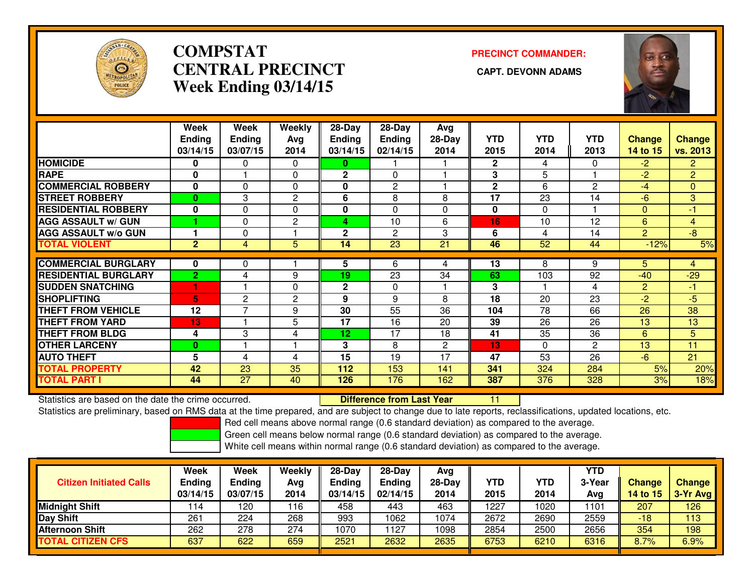

## **COMPSTATCENTRAL PRECINCT Week Ending 03/14/15**

# **PRECINCT COMMANDER:**



|                             | Week           | Week           | Weekly       | $28-Day$      | 28-Day        | Avg      |              |            |                |                |                |
|-----------------------------|----------------|----------------|--------------|---------------|---------------|----------|--------------|------------|----------------|----------------|----------------|
|                             | <b>Ending</b>  | Ending         | Avg          | <b>Ending</b> | <b>Ending</b> | $28-Day$ | <b>YTD</b>   | <b>YTD</b> | <b>YTD</b>     | <b>Change</b>  | <b>Change</b>  |
|                             | 03/14/15       | 03/07/15       | 2014         | 03/14/15      | 02/14/15      | 2014     | 2015         | 2014       | 2013           | 14 to 15       | vs. 2013       |
| <b>HOMICIDE</b>             | $\bf{0}$       | 0              | $\Omega$     | 0             |               |          | $\mathbf{2}$ | 4          | $\Omega$       | $-2$           | $\overline{2}$ |
| <b>RAPE</b>                 | 0              |                | 0            | $\mathbf{2}$  | 0             |          | 3            | 5          |                | $-2$           | $\overline{2}$ |
| <b>COMMERCIAL ROBBERY</b>   | $\mathbf{0}$   | 0              | $\Omega$     | 0             | $\mathbf{2}$  |          | $\mathbf{2}$ | 6          | 2              | -4             | $\mathbf{0}$   |
| <b>STREET ROBBERY</b>       | $\bf{0}$       | 3              | $\mathbf{2}$ | 6             | 8             | 8        | 17           | 23         | 14             | $-6$           | 3              |
| <b>RESIDENTIAL ROBBERY</b>  | $\bf{0}$       | 0              | $\Omega$     | 0             | $\Omega$      | $\Omega$ | 0            | 0          |                | 0              | $-1$           |
| <b>AGG ASSAULT w/ GUN</b>   |                | 0              | $\mathbf{2}$ | 4             | 10            | 6        | 16           | 10         | 12             | 6              | $\overline{4}$ |
| <b>AGG ASSAULT w/o GUN</b>  |                | 0              |              | $\mathbf 2$   | 2             | 3        | 6            | 4          | 14             | $\overline{c}$ | $-8$           |
| <b>TOTAL VIOLENT</b>        | $\overline{2}$ | 4              | 5            | 14            | 23            | 21       | 46           | 52         | 44             | $-12%$         | 5%             |
|                             |                |                |              |               |               |          |              |            |                |                |                |
| <b>COMMERCIAL BURGLARY</b>  | 0              | 0              |              | 5             | 6             | 4        | 13           | 8          | 9              | 5.             | 4              |
| <b>RESIDENTIAL BURGLARY</b> | $\overline{2}$ | 4              | 9            | 19            | 23            | 34       | 63           | 103        | 92             | $-40$          | $-29$          |
| <b>SUDDEN SNATCHING</b>     |                |                | $\Omega$     | $\mathbf 2$   | $\Omega$      |          | 3            |            | 4              | $\overline{2}$ | -1             |
| <b>SHOPLIFTING</b>          | 5              | $\overline{2}$ | $\mathbf{2}$ | 9             | 9             | 8        | 18           | 20         | 23             | $-2$           | $-5$           |
| <b>THEFT FROM VEHICLE</b>   | 12             | $\overline{ }$ | 9            | 30            | 55            | 36       | 104          | 78         | 66             | 26             | 38             |
| <b>THEFT FROM YARD</b>      | 13             |                | 5            | 17            | 16            | 20       | 39           | 26         | 26             | 13             | 13             |
| <b>THEFT FROM BLDG</b>      | 4              | 3              | 4            | 12            | 17            | 18       | 41           | 35         | 36             | 6              | 5              |
| <b>OTHER LARCENY</b>        | $\bf{0}$       |                |              | 3             | 8             | 2        | 13           | 0          | $\overline{2}$ | 13             | 11             |
| <b>AUTO THEFT</b>           | 5              | 4              | 4            | 15            | 19            | 17       | 47           | 53         | 26             | $-6$           | 21             |
| <b>TOTAL PROPERTY</b>       | 42             | 23             | 35           | 112           | 153           | 141      | 341          | 324        | 284            | 5%             | 20%            |
| <b>TOTAL PART I</b>         | 44             | 27             | 40           | 126           | 176           | 162      | 387          | 376        | 328            | 3%             | 18%            |

Statistics are based on the date the crime occurred. **Difference from Last Year** 

Statistics are based on the date the crime occurred. The time prepared, and are subject to change due to late reports, reclassifications, updated locations, etc.<br>Statistics are preliminary, based on RMS data at the time pr

Red cell means above normal range (0.6 standard deviation) as compared to the average.

Green cell means below normal range (0.6 standard deviation) as compared to the average.

| <b>Citizen Initiated Calls</b> | Week<br>Ending<br>03/14/15 | Week<br>Ending<br>03/07/15 | Weekly<br>Avg<br>2014 | 28-Day<br>Ending<br>03/14/15 | $28-Dav$<br><b>Ending</b><br>02/14/15 | Ava<br>$28-Dav$<br>2014 | YTD<br>2015 | <b>YTD</b><br>2014 | <b>YTD</b><br>3-Year<br>Avg | <b>Change</b><br>14 to 15 | <b>Change</b><br>$3-Yr$ Avg |
|--------------------------------|----------------------------|----------------------------|-----------------------|------------------------------|---------------------------------------|-------------------------|-------------|--------------------|-----------------------------|---------------------------|-----------------------------|
| Midnight Shift                 | 114                        | 120                        | 116                   | 458                          | 443                                   | 463                     | 1227        | 1020               | 1101                        | 207                       | 126                         |
| Day Shift                      | 261                        | 224                        | 268                   | 993                          | 1062                                  | 1074                    | 2672        | 2690               | 2559                        | -18                       | 113                         |
| Afternoon Shift                | 262                        | 278                        | 274                   | 1070                         | 127                                   | 1098                    | 2854        | 2500               | 2656                        | 354                       | 198                         |
| <b>TOTAL CITIZEN CFS</b>       | 637                        | 622                        | 659                   | 2521                         | 2632                                  | 2635                    | 6753        | 6210               | 6316                        | 8.7%                      | 6.9%                        |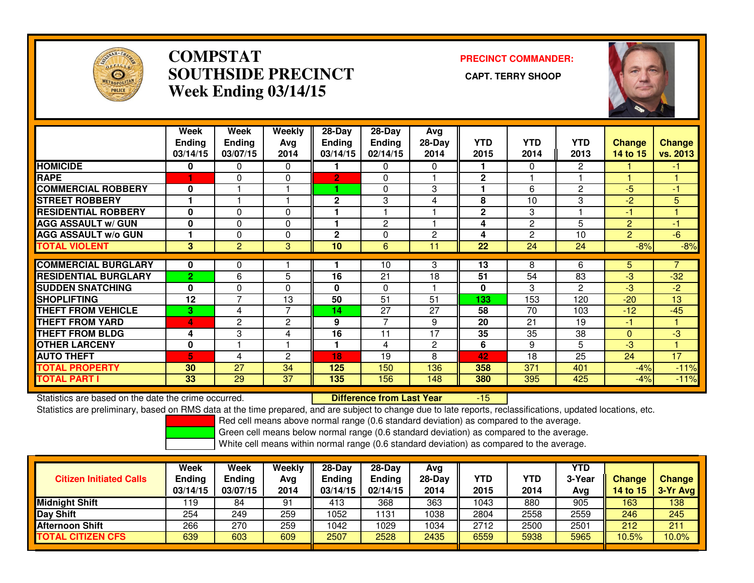

## **COMPSTAT PRECINCT COMMANDER: SOUTHSIDE PRECINCT CAPT. TERRY SHOOPWeek Ending 03/14/15**



|                             | Week<br><b>Ending</b><br>03/14/15 | <b>Week</b><br><b>Ending</b><br>03/07/15 | Weekly<br>Avg<br>2014 | $28 - Day$<br><b>Ending</b><br>03/14/15 | $28 - Day$<br><b>Ending</b><br>02/14/15 | Avg<br>$28-Day$<br>2014 | <b>YTD</b><br>2015 | <b>YTD</b><br>2014 | <b>YTD</b><br>2013 | <b>Change</b><br>14 to 15 | <b>Change</b><br>vs. 2013 |
|-----------------------------|-----------------------------------|------------------------------------------|-----------------------|-----------------------------------------|-----------------------------------------|-------------------------|--------------------|--------------------|--------------------|---------------------------|---------------------------|
| <b>HOMICIDE</b>             | 0                                 | 0                                        | $\Omega$              |                                         | 0                                       | 0                       | 1.                 | 0                  | 2                  |                           | -1                        |
| <b>RAPE</b>                 |                                   | $\Omega$                                 | $\mathbf{0}$          | $\overline{2}$                          | 0                                       |                         | $\mathbf{2}$       |                    |                    |                           | 1                         |
| <b>COMMERCIAL ROBBERY</b>   | $\bf{0}$                          |                                          |                       |                                         | $\Omega$                                | 3                       | 1                  | 6                  | $\overline{2}$     | $-5$                      | $-1$                      |
| <b>STREET ROBBERY</b>       |                                   |                                          |                       | $\mathbf{2}$                            | 3                                       | 4                       | 8                  | 10                 | 3                  | $-2$                      | 5                         |
| <b>RESIDENTIAL ROBBERY</b>  | $\bf{0}$                          | 0                                        | $\mathbf{0}$          |                                         |                                         |                         | $\mathbf{2}$       | 3                  |                    | -1                        |                           |
| <b>AGG ASSAULT w/ GUN</b>   | $\bf{0}$                          | $\Omega$                                 | $\mathbf{0}$          |                                         | $\overline{2}$                          |                         | 4                  | $\mathbf{2}$       | 5                  | $\overline{2}$            | $-1$                      |
| <b>AGG ASSAULT w/o GUN</b>  |                                   | $\Omega$                                 | $\mathbf{0}$          | $\mathbf{2}$                            | 0                                       | $\overline{2}$          | 4                  | $\overline{2}$     | 10                 | $\overline{2}$            | $-6$                      |
| <b>TOTAL VIOLENT</b>        | 3                                 | 2                                        | 3                     | 10                                      | 6                                       | 11                      | 22                 | 24                 | 24                 | $-8%$                     | $-8%$                     |
|                             |                                   |                                          |                       |                                         |                                         |                         |                    |                    |                    |                           |                           |
| <b>COMMERCIAL BURGLARY</b>  | $\bf{0}$                          | 0                                        |                       |                                         | 10                                      | 3                       | 13                 | 8                  | 6                  | 5                         |                           |
| <b>RESIDENTIAL BURGLARY</b> | $\overline{2}$                    | 6                                        | 5                     | 16                                      | 21                                      | 18                      | 51                 | 54                 | 83                 | $-3$                      | $-32$                     |
| <b>SUDDEN SNATCHING</b>     | $\bf{0}$                          | $\Omega$                                 | $\Omega$              | 0                                       | 0                                       |                         | 0                  | 3                  | 2                  | $-3$                      | $-2$                      |
| <b>SHOPLIFTING</b>          | 12                                | 7                                        | 13                    | 50                                      | 51                                      | 51                      | 133                | 153                | 120                | $-20$                     | 13                        |
| <b>THEFT FROM VEHICLE</b>   | 3.                                | 4                                        | $\overline{7}$        | 14                                      | 27                                      | 27                      | 58                 | 70                 | 103                | $-12$                     | $-45$                     |
| <b>THEFT FROM YARD</b>      | 4                                 | $\overline{c}$                           | $\overline{2}$        | 9                                       | $\overline{7}$                          | 9                       | 20                 | 21                 | 19                 | $-1$                      | 1                         |
| <b>THEFT FROM BLDG</b>      | 4                                 | 3                                        | 4                     | 16                                      | 11                                      | 17                      | 35                 | 35                 | 38                 | 0                         | $-3$                      |
| <b>OTHER LARCENY</b>        | 0                                 |                                          |                       |                                         | 4                                       | $\overline{2}$          | 6                  | 9                  | 5                  | $-3$                      | 1                         |
| <b>AUTO THEFT</b>           | 5                                 | 4                                        | $\overline{2}$        | 18                                      | 19                                      | 8                       | 42                 | 18                 | 25                 | 24                        | 17                        |
| <b>TOTAL PROPERTY</b>       | 30                                | 27                                       | 34                    | 125                                     | 150                                     | 136                     | 358                | 371                | 401                | $-4%$                     | $-11%$                    |
| <b>TOTAL PART I</b>         | 33                                | 29                                       | 37                    | 135                                     | 156                                     | 148                     | 380                | 395                | 425                | $-4%$                     | $-11%$                    |

Statistics are based on the date the crime occurred. **Difference from Last Year** 

-15

Statistics are preliminary, based on RMS data at the time prepared, and are subject to change due to late reports, reclassifications, updated locations, etc.

Red cell means above normal range (0.6 standard deviation) as compared to the average.

Green cell means below normal range (0.6 standard deviation) as compared to the average.

| <b>Citizen Initiated Calls</b> | Week<br><b>Ending</b><br>03/14/15 | <b>Week</b><br>Ending<br>03/07/15 | Weekly<br>Avg<br>2014 | $28-Day$<br>Ending<br>03/14/15 | $28-Dav$<br><b>Ending</b><br>02/14/15 | Ava<br>$28-Day$<br>2014 | YTD<br>2015 | YTD<br>2014 | YTD<br>3-Year<br>Avg | <b>Change</b><br>14 to 15 | <b>Change</b><br>3-Yr Avg |
|--------------------------------|-----------------------------------|-----------------------------------|-----------------------|--------------------------------|---------------------------------------|-------------------------|-------------|-------------|----------------------|---------------------------|---------------------------|
| <b>Midnight Shift</b>          | 119                               | 84                                | 91                    | 413                            | 368                                   | 363                     | 1043        | 880         | 905                  | 163                       | 138                       |
| Day Shift                      | 254                               | 249                               | 259                   | 1052                           | 1131                                  | 1038                    | 2804        | 2558        | 2559                 | 246                       | 245                       |
| <b>Afternoon Shift</b>         | 266                               | 270                               | 259                   | 1042                           | 1029                                  | 1034                    | 2712        | 2500        | 2501                 | 212                       | 211                       |
| <b>TOTAL CITIZEN CFS</b>       | 639                               | 603                               | 609                   | 2507                           | 2528                                  | 2435                    | 6559        | 5938        | 5965                 | 10.5%                     | 10.0%                     |